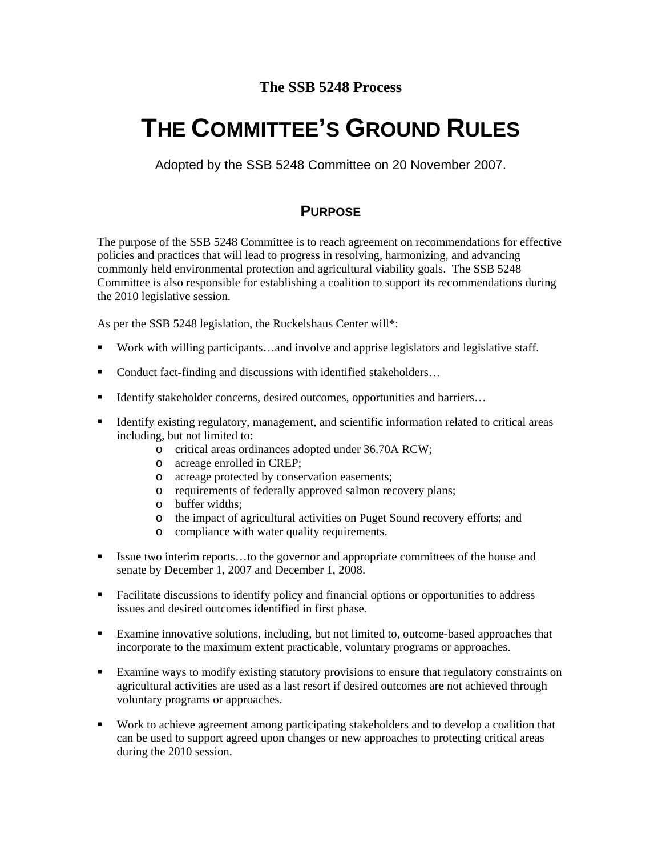### **The SSB 5248 Process**

# **THE COMMITTEE'S GROUND RULES**

Adopted by the SSB 5248 Committee on 20 November 2007.

## **PURPOSE**

The purpose of the SSB 5248 Committee is to reach agreement on recommendations for effective policies and practices that will lead to progress in resolving, harmonizing, and advancing commonly held environmental protection and agricultural viability goals. The SSB 5248 Committee is also responsible for establishing a coalition to support its recommendations during the 2010 legislative session.

As per the SSB 5248 legislation, the Ruckelshaus Center will\*:

- Work with willing participants…and involve and apprise legislators and legislative staff.
- Conduct fact-finding and discussions with identified stakeholders...
- Identify stakeholder concerns, desired outcomes, opportunities and barriers...
- Identify existing regulatory, management, and scientific information related to critical areas including, but not limited to:
	- o critical areas ordinances adopted under 36.70A RCW;
	- o acreage enrolled in CREP;
	- o acreage protected by conservation easements;
	- o requirements of federally approved salmon recovery plans;
	- o buffer widths;
	- o the impact of agricultural activities on Puget Sound recovery efforts; and
	- o compliance with water quality requirements.
- Issue two interim reports…to the governor and appropriate committees of the house and senate by December 1, 2007 and December 1, 2008.
- Facilitate discussions to identify policy and financial options or opportunities to address issues and desired outcomes identified in first phase.
- Examine innovative solutions, including, but not limited to, outcome-based approaches that incorporate to the maximum extent practicable, voluntary programs or approaches.
- **Examine ways to modify existing statutory provisions to ensure that regulatory constraints on** agricultural activities are used as a last resort if desired outcomes are not achieved through voluntary programs or approaches.
- Work to achieve agreement among participating stakeholders and to develop a coalition that can be used to support agreed upon changes or new approaches to protecting critical areas during the 2010 session.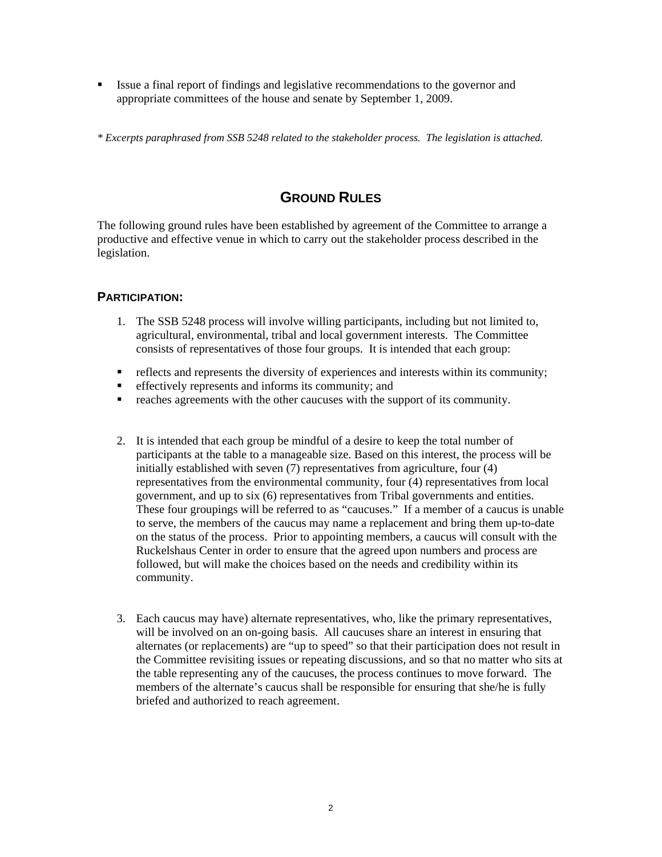Issue a final report of findings and legislative recommendations to the governor and appropriate committees of the house and senate by September 1, 2009.

*\* Excerpts paraphrased from SSB 5248 related to the stakeholder process. The legislation is attached.* 

## **GROUND RULES**

The following ground rules have been established by agreement of the Committee to arrange a productive and effective venue in which to carry out the stakeholder process described in the legislation.

#### **PARTICIPATION:**

- 1. The SSB 5248 process will involve willing participants, including but not limited to, agricultural, environmental, tribal and local government interests. The Committee consists of representatives of those four groups. It is intended that each group:
- reflects and represents the diversity of experiences and interests within its community;
- **e** effectively represents and informs its community; and
- reaches agreements with the other caucuses with the support of its community.
- 2. It is intended that each group be mindful of a desire to keep the total number of participants at the table to a manageable size. Based on this interest, the process will be initially established with seven (7) representatives from agriculture, four (4) representatives from the environmental community, four (4) representatives from local government, and up to six (6) representatives from Tribal governments and entities. These four groupings will be referred to as "caucuses." If a member of a caucus is unable to serve, the members of the caucus may name a replacement and bring them up-to-date on the status of the process. Prior to appointing members, a caucus will consult with the Ruckelshaus Center in order to ensure that the agreed upon numbers and process are followed, but will make the choices based on the needs and credibility within its community.
- 3. Each caucus may have) alternate representatives, who, like the primary representatives, will be involved on an on-going basis. All caucuses share an interest in ensuring that alternates (or replacements) are "up to speed" so that their participation does not result in the Committee revisiting issues or repeating discussions, and so that no matter who sits at the table representing any of the caucuses, the process continues to move forward. The members of the alternate's caucus shall be responsible for ensuring that she/he is fully briefed and authorized to reach agreement.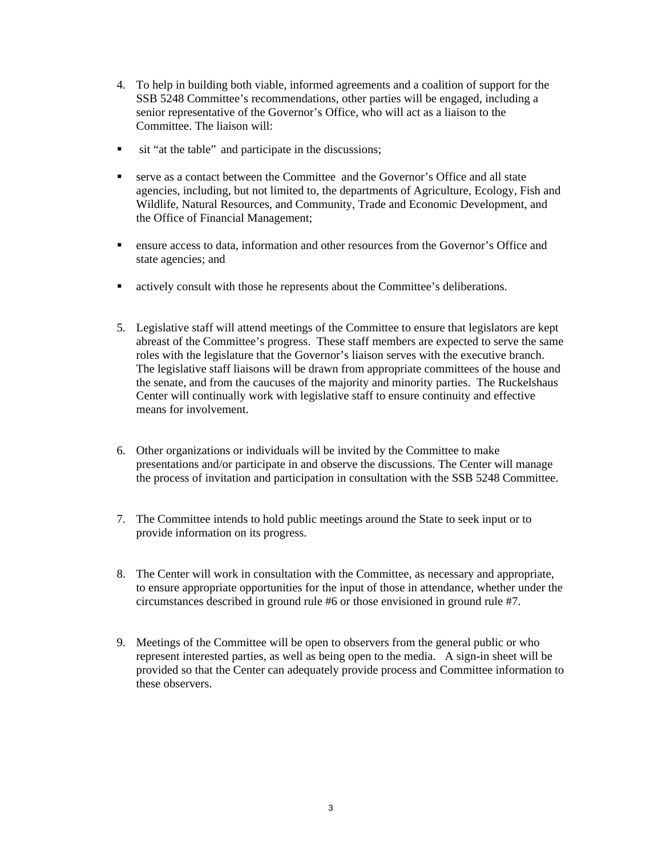- 4. To help in building both viable, informed agreements and a coalition of support for the SSB 5248 Committee's recommendations, other parties will be engaged, including a senior representative of the Governor's Office, who will act as a liaison to the Committee. The liaison will:
- sit "at the table" and participate in the discussions;
- serve as a contact between the Committee and the Governor's Office and all state agencies, including, but not limited to, the departments of Agriculture, Ecology, Fish and Wildlife, Natural Resources, and Community, Trade and Economic Development, and the Office of Financial Management;
- ensure access to data, information and other resources from the Governor's Office and state agencies; and
- actively consult with those he represents about the Committee's deliberations.
- 5. Legislative staff will attend meetings of the Committee to ensure that legislators are kept abreast of the Committee's progress. These staff members are expected to serve the same roles with the legislature that the Governor's liaison serves with the executive branch. The legislative staff liaisons will be drawn from appropriate committees of the house and the senate, and from the caucuses of the majority and minority parties. The Ruckelshaus Center will continually work with legislative staff to ensure continuity and effective means for involvement.
- 6. Other organizations or individuals will be invited by the Committee to make presentations and/or participate in and observe the discussions. The Center will manage the process of invitation and participation in consultation with the SSB 5248 Committee.
- 7. The Committee intends to hold public meetings around the State to seek input or to provide information on its progress.
- 8. The Center will work in consultation with the Committee, as necessary and appropriate, to ensure appropriate opportunities for the input of those in attendance, whether under the circumstances described in ground rule #6 or those envisioned in ground rule #7.
- 9. Meetings of the Committee will be open to observers from the general public or who represent interested parties, as well as being open to the media. A sign-in sheet will be provided so that the Center can adequately provide process and Committee information to these observers.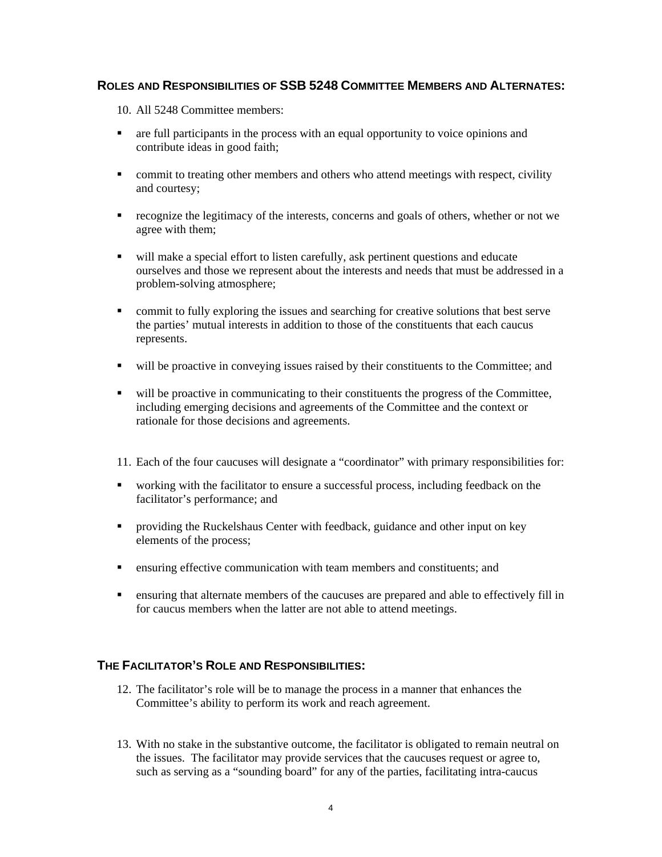#### **ROLES AND RESPONSIBILITIES OF SSB 5248 COMMITTEE MEMBERS AND ALTERNATES:**

10. All 5248 Committee members:

- are full participants in the process with an equal opportunity to voice opinions and contribute ideas in good faith;
- commit to treating other members and others who attend meetings with respect, civility and courtesy;
- recognize the legitimacy of the interests, concerns and goals of others, whether or not we agree with them;
- will make a special effort to listen carefully, ask pertinent questions and educate ourselves and those we represent about the interests and needs that must be addressed in a problem-solving atmosphere;
- commit to fully exploring the issues and searching for creative solutions that best serve the parties' mutual interests in addition to those of the constituents that each caucus represents.
- will be proactive in conveying issues raised by their constituents to the Committee; and
- will be proactive in communicating to their constituents the progress of the Committee, including emerging decisions and agreements of the Committee and the context or rationale for those decisions and agreements.
- 11. Each of the four caucuses will designate a "coordinator" with primary responsibilities for:
- working with the facilitator to ensure a successful process, including feedback on the facilitator's performance; and
- providing the Ruckelshaus Center with feedback, guidance and other input on key elements of the process;
- ensuring effective communication with team members and constituents; and
- ensuring that alternate members of the caucuses are prepared and able to effectively fill in for caucus members when the latter are not able to attend meetings.

#### **THE FACILITATOR'S ROLE AND RESPONSIBILITIES:**

- 12. The facilitator's role will be to manage the process in a manner that enhances the Committee's ability to perform its work and reach agreement.
- 13. With no stake in the substantive outcome, the facilitator is obligated to remain neutral on the issues. The facilitator may provide services that the caucuses request or agree to, such as serving as a "sounding board" for any of the parties, facilitating intra-caucus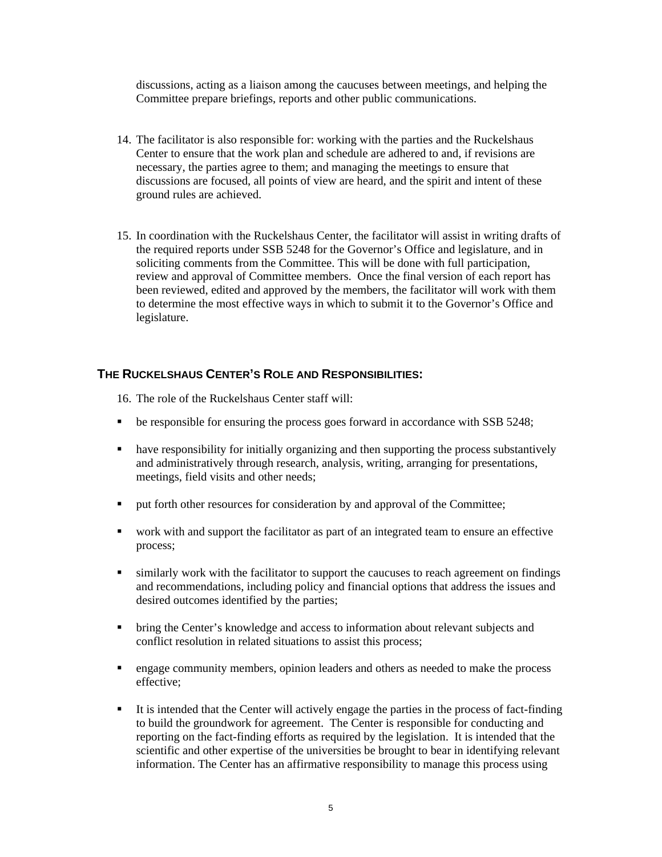discussions, acting as a liaison among the caucuses between meetings, and helping the Committee prepare briefings, reports and other public communications.

- 14. The facilitator is also responsible for: working with the parties and the Ruckelshaus Center to ensure that the work plan and schedule are adhered to and, if revisions are necessary, the parties agree to them; and managing the meetings to ensure that discussions are focused, all points of view are heard, and the spirit and intent of these ground rules are achieved.
- 15. In coordination with the Ruckelshaus Center, the facilitator will assist in writing drafts of the required reports under SSB 5248 for the Governor's Office and legislature, and in soliciting comments from the Committee. This will be done with full participation, review and approval of Committee members. Once the final version of each report has been reviewed, edited and approved by the members, the facilitator will work with them to determine the most effective ways in which to submit it to the Governor's Office and legislature.

#### **THE RUCKELSHAUS CENTER'S ROLE AND RESPONSIBILITIES:**

16. The role of the Ruckelshaus Center staff will:

- **•** be responsible for ensuring the process goes forward in accordance with SSB 5248;
- **•** have responsibility for initially organizing and then supporting the process substantively and administratively through research, analysis, writing, arranging for presentations, meetings, field visits and other needs;
- put forth other resources for consideration by and approval of the Committee;
- work with and support the facilitator as part of an integrated team to ensure an effective process;
- similarly work with the facilitator to support the caucuses to reach agreement on findings and recommendations, including policy and financial options that address the issues and desired outcomes identified by the parties;
- bring the Center's knowledge and access to information about relevant subjects and conflict resolution in related situations to assist this process;
- engage community members, opinion leaders and others as needed to make the process effective;
- It is intended that the Center will actively engage the parties in the process of fact-finding to build the groundwork for agreement. The Center is responsible for conducting and reporting on the fact-finding efforts as required by the legislation. It is intended that the scientific and other expertise of the universities be brought to bear in identifying relevant information. The Center has an affirmative responsibility to manage this process using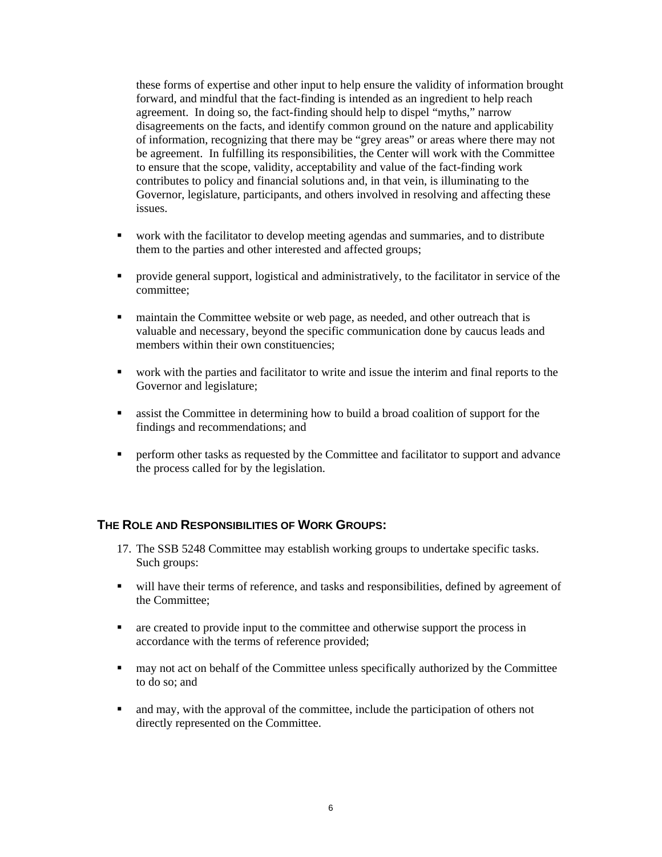these forms of expertise and other input to help ensure the validity of information brought forward, and mindful that the fact-finding is intended as an ingredient to help reach agreement. In doing so, the fact-finding should help to dispel "myths," narrow disagreements on the facts, and identify common ground on the nature and applicability of information, recognizing that there may be "grey areas" or areas where there may not be agreement. In fulfilling its responsibilities, the Center will work with the Committee to ensure that the scope, validity, acceptability and value of the fact-finding work contributes to policy and financial solutions and, in that vein, is illuminating to the Governor, legislature, participants, and others involved in resolving and affecting these issues.

- work with the facilitator to develop meeting agendas and summaries, and to distribute them to the parties and other interested and affected groups;
- **•** provide general support, logistical and administratively, to the facilitator in service of the committee;
- maintain the Committee website or web page, as needed, and other outreach that is valuable and necessary, beyond the specific communication done by caucus leads and members within their own constituencies;
- work with the parties and facilitator to write and issue the interim and final reports to the Governor and legislature;
- assist the Committee in determining how to build a broad coalition of support for the findings and recommendations; and
- perform other tasks as requested by the Committee and facilitator to support and advance the process called for by the legislation.

#### **THE ROLE AND RESPONSIBILITIES OF WORK GROUPS:**

- 17. The SSB 5248 Committee may establish working groups to undertake specific tasks. Such groups:
- will have their terms of reference, and tasks and responsibilities, defined by agreement of the Committee;
- are created to provide input to the committee and otherwise support the process in accordance with the terms of reference provided;
- may not act on behalf of the Committee unless specifically authorized by the Committee to do so; and
- and may, with the approval of the committee, include the participation of others not directly represented on the Committee.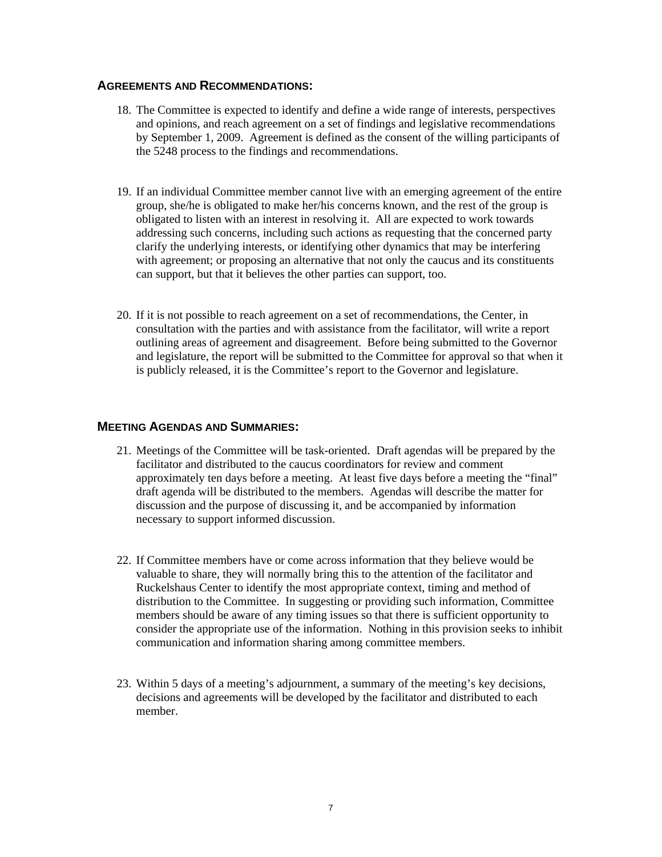#### **AGREEMENTS AND RECOMMENDATIONS:**

- 18. The Committee is expected to identify and define a wide range of interests, perspectives and opinions, and reach agreement on a set of findings and legislative recommendations by September 1, 2009. Agreement is defined as the consent of the willing participants of the 5248 process to the findings and recommendations.
- 19. If an individual Committee member cannot live with an emerging agreement of the entire group, she/he is obligated to make her/his concerns known, and the rest of the group is obligated to listen with an interest in resolving it. All are expected to work towards addressing such concerns, including such actions as requesting that the concerned party clarify the underlying interests, or identifying other dynamics that may be interfering with agreement; or proposing an alternative that not only the caucus and its constituents can support, but that it believes the other parties can support, too.
- 20. If it is not possible to reach agreement on a set of recommendations, the Center, in consultation with the parties and with assistance from the facilitator, will write a report outlining areas of agreement and disagreement. Before being submitted to the Governor and legislature, the report will be submitted to the Committee for approval so that when it is publicly released, it is the Committee's report to the Governor and legislature.

#### **MEETING AGENDAS AND SUMMARIES:**

- 21. Meetings of the Committee will be task-oriented. Draft agendas will be prepared by the facilitator and distributed to the caucus coordinators for review and comment approximately ten days before a meeting. At least five days before a meeting the "final" draft agenda will be distributed to the members. Agendas will describe the matter for discussion and the purpose of discussing it, and be accompanied by information necessary to support informed discussion.
- 22. If Committee members have or come across information that they believe would be valuable to share, they will normally bring this to the attention of the facilitator and Ruckelshaus Center to identify the most appropriate context, timing and method of distribution to the Committee. In suggesting or providing such information, Committee members should be aware of any timing issues so that there is sufficient opportunity to consider the appropriate use of the information. Nothing in this provision seeks to inhibit communication and information sharing among committee members.
- 23. Within 5 days of a meeting's adjournment, a summary of the meeting's key decisions, decisions and agreements will be developed by the facilitator and distributed to each member.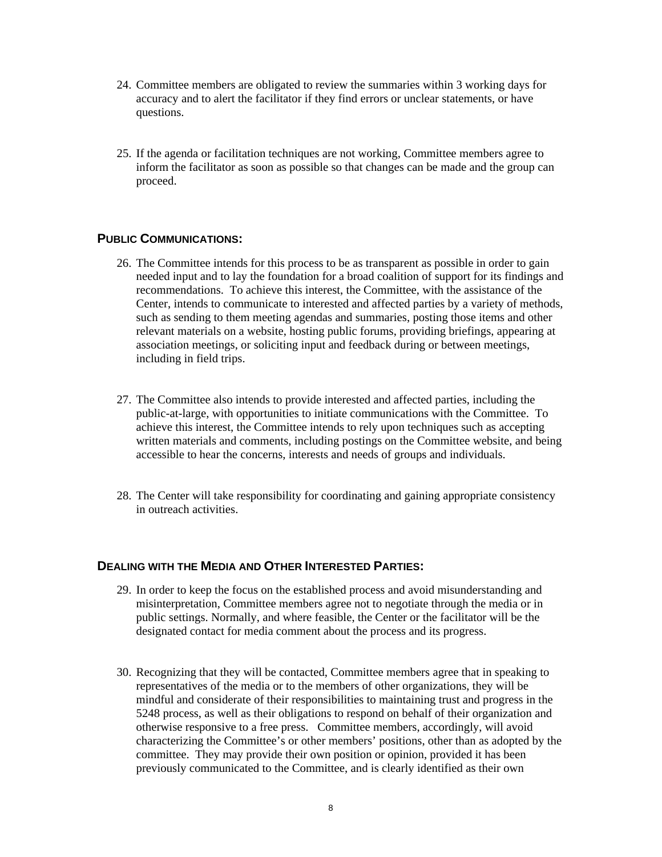- 24. Committee members are obligated to review the summaries within 3 working days for accuracy and to alert the facilitator if they find errors or unclear statements, or have questions.
- 25. If the agenda or facilitation techniques are not working, Committee members agree to inform the facilitator as soon as possible so that changes can be made and the group can proceed.

#### **PUBLIC COMMUNICATIONS:**

- 26. The Committee intends for this process to be as transparent as possible in order to gain needed input and to lay the foundation for a broad coalition of support for its findings and recommendations. To achieve this interest, the Committee, with the assistance of the Center, intends to communicate to interested and affected parties by a variety of methods, such as sending to them meeting agendas and summaries, posting those items and other relevant materials on a website, hosting public forums, providing briefings, appearing at association meetings, or soliciting input and feedback during or between meetings, including in field trips.
- 27. The Committee also intends to provide interested and affected parties, including the public-at-large, with opportunities to initiate communications with the Committee. To achieve this interest, the Committee intends to rely upon techniques such as accepting written materials and comments, including postings on the Committee website, and being accessible to hear the concerns, interests and needs of groups and individuals.
- 28. The Center will take responsibility for coordinating and gaining appropriate consistency in outreach activities.

#### **DEALING WITH THE MEDIA AND OTHER INTERESTED PARTIES:**

- 29. In order to keep the focus on the established process and avoid misunderstanding and misinterpretation, Committee members agree not to negotiate through the media or in public settings. Normally, and where feasible, the Center or the facilitator will be the designated contact for media comment about the process and its progress.
- 30. Recognizing that they will be contacted, Committee members agree that in speaking to representatives of the media or to the members of other organizations, they will be mindful and considerate of their responsibilities to maintaining trust and progress in the 5248 process, as well as their obligations to respond on behalf of their organization and otherwise responsive to a free press. Committee members, accordingly, will avoid characterizing the Committee's or other members' positions, other than as adopted by the committee. They may provide their own position or opinion, provided it has been previously communicated to the Committee, and is clearly identified as their own